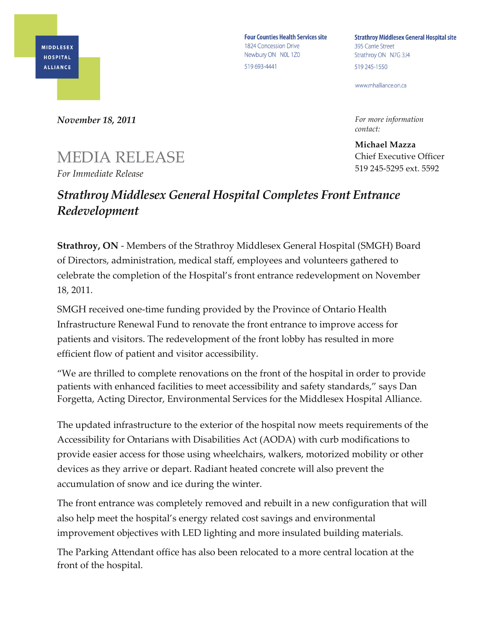

**Four Counties Health Services site** 1824 Concession Drive Newbury ON NOL 1Z0 519 693-4441

**Strathroy Middlesex General Hospital site** 395 Carrie Street Strathroy ON N7G 3J4 519 245-1550

www.mhalliance.on.ca

*For more information contact:*

**Michael Mazza** Chief Executive Officer 519 245-5295 ext. 5592

*November 18, 2011*

## MEDIA RELEASE *For Immediate Release*

## *Strathroy Middlesex General Hospital Completes Front Entrance Redevelopment*

**Strathroy, ON** - Members of the Strathroy Middlesex General Hospital (SMGH) Board of Directors, administration, medical staff, employees and volunteers gathered to celebrate the completion of the Hospital's front entrance redevelopment on November 18, 2011.

SMGH received one-time funding provided by the Province of Ontario Health Infrastructure Renewal Fund to renovate the front entrance to improve access for patients and visitors. The redevelopment of the front lobby has resulted in more efficient flow of patient and visitor accessibility.

"We are thrilled to complete renovations on the front of the hospital in order to provide patients with enhanced facilities to meet accessibility and safety standards," says Dan Forgetta, Acting Director, Environmental Services for the Middlesex Hospital Alliance.

The updated infrastructure to the exterior of the hospital now meets requirements of the Accessibility for Ontarians with Disabilities Act (AODA) with curb modifications to provide easier access for those using wheelchairs, walkers, motorized mobility or other devices as they arrive or depart. Radiant heated concrete will also prevent the accumulation of snow and ice during the winter.

The front entrance was completely removed and rebuilt in a new configuration that will also help meet the hospital's energy related cost savings and environmental improvement objectives with LED lighting and more insulated building materials.

The Parking Attendant office has also been relocated to a more central location at the front of the hospital.